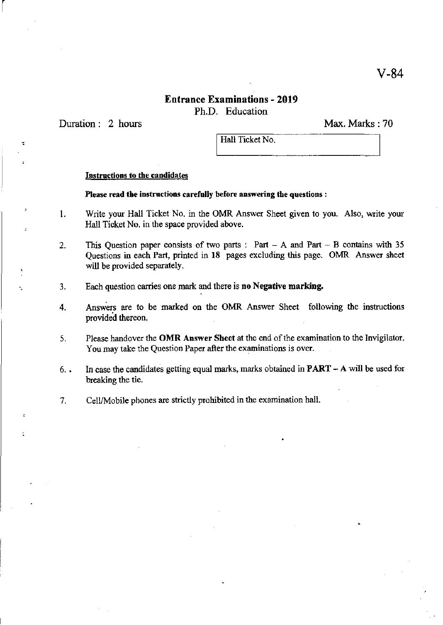### **Entrance Examinations - 2019**  Ph.D. Education

Duration: 2 hours

 $\begin{bmatrix} \phantom{-} \end{bmatrix}$ 

Max. Marks: 70

Hall Ticket No.

### **Instructions to the candidates**

#### **Please read the instructions carefully before answering the questions:**

- 1. Write your Hall Ticket No. in the OMR Answer Sheet given to you. Also, write your Hall Ticket No. in the space provided above.
- 2. This Question paper consists of two parts: Part A and Part B contains with 35 Qoestions in each Part, printed in **18** pages excluding this page. OMR Answer sheet will be provided separately.
- 3. **Each question carries one mark and there is no Negative marking.**
- 4. Answers are to be marked on the OMR Answer Sheet following the instructions provided thereon.
- **5. Please handover the OMR Answer Sheet at the end** of the **examination to the Invigilator. You may take the Question Paper after the examinations is over.**
- **6. . In case the candidates getting equal marks, marks obtained in PART A will be used for**  breaking the tie.
- **7. CellfMobile phones are strictly prohibited in the examination hall.**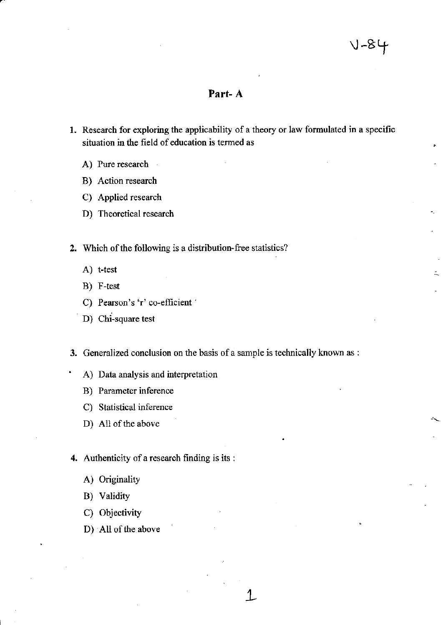.  $\ddot{\phantom{0}}$ 

o~

### **Part- A**

- 1. Research for exploring the applicability of a theory or law formulated in a specific **situation in the field of education is tenned as** 
	- A) Pure research  $\mathbb{R}^2$

r

- B) Action research
- C) Applied research
- D) Theoretical research

2. Which of the following is a distribution-free statistics?

- A) **t-test**
- B) F-test
- C) Pearson's 'r' co-efficient <sup>'</sup>
- D) **Chi-square test**

**3. Generalized conclusion on the basis of a sample is technically known as :** 

- A) **Data analysis and interpretation**
- B) **Parameter inference**
- C) **Statistical inference**
- D) All of the above

**4. Authenticity of a research finding is its :** 

- A) Originality
- B) Validity
- C) Objectivity
- D) All of the above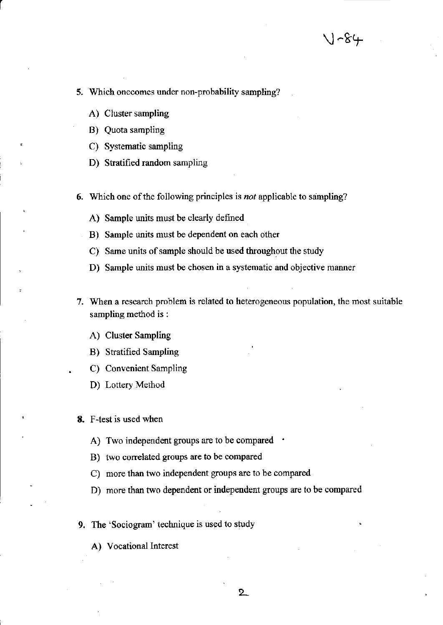- **5. Which onecomes under non-probability sampling?** 
	- A) Cluster sampling

r

- B) Quota sampling
- C) Systematic sampling
- 0) Stratified random sampling
- 6. Which one of the following principles is *not* applicable to sampling?
	- A) Sample units must be clearly defined
	- B) Sample units must be dependent on each other
	- C) Same units of sample should be used throughout the study
	- **D) Sample units must be chosen in a systematic and objective manner**
- **7. When a research problem is related to heterogeneous population, the most suitable**  sampling method is :
	- A) Cluster Sampling
	- B) Stratified Sampling
	- C) Convenient Sampling
	- 0) Lottery Method
- 8. F-test is used when
	- A) Two independent groups are to be compared .
	- B) two correlated groups are to be compared
	- C) more than two independent groups are to be compared
	- 0) more than two dependent or independent groups are to be compared
- 9. The 'Sociogram' technique is used to study
	- A) Vocational Interest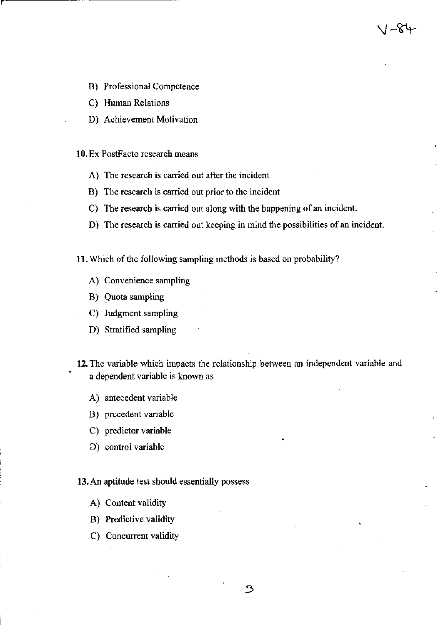- B) Professional Competence
- C) Human Relations
- D) Achievement Motivation

### 10. Ex PostFacto research means

- **A) The research is carried out after the incident**
- **B) The research is carried out prior to the incident**
- **C) The research is carried out along with the happening of an incident.**
- **D)** The research is carried out keeping in mind the possibilities of an incident.

ا ~∀4

11. Which of the following sampling methods is based on probability?

- A) **Convenience sampling**
- B) Quota sampling
- C) Judgment sampling
- D) Stratified sampling
- **12. The variable which impacts the relationship between an independent variable and**   $a$  dependent variable is known as
	- A) antecedent variable
	- B) precedent variable
	- C) predictor variable
	- D) control variable

#### 13. An aptitude test should essentially possess

- A) Content validity
- B) Predictive validity
- C) Concurrent validity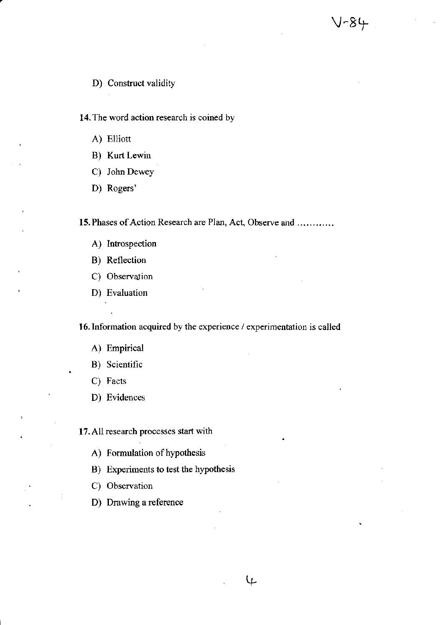**14. The word action research is coined by** 

- A) Elliott
- B) Kurt Lewin
- C) John Dewey
- D) Rogers'

15. Phases of Action Research are Plan, Act, Observe and ............

V-84

- A) Introspection
- B) Reflection
- C) Observation
- D) Evaluation

**16. Tnfonnation acquired by the experience / experimentation is called** 

↯

- A) Empirical
- B) **Scientific**
- C) **Facts**
- D) **Evidences**

**17. All research processes start with** 

- A) Formulation of hypothesis
- B) Experiments to test the hypothesis
- C) Observation
- **D) Drawing a reference**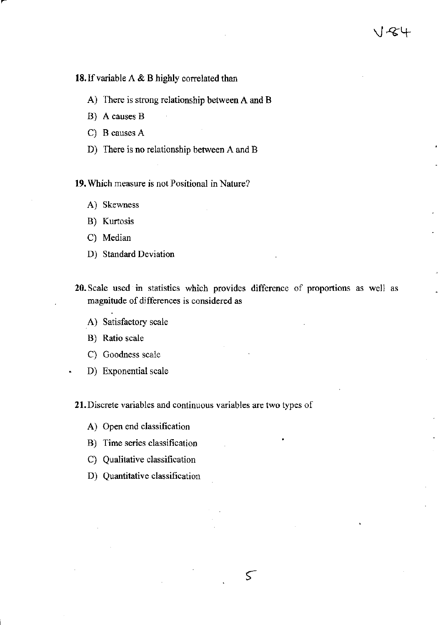1784

### 18. If variable A & B highly correlated than

- A) There is strong relationship between A and B
- B) A causes B
- C) B causes A
- D) There is no relationship between A and B

**19. Which measure is not Positional in Nature?** 

- A) Skewness
- B) Kurtosis
- C) Median
- D) Standard Deviation
- **20. Scale used in statistics which provides difference of proportions as well as magnitude of differences is considered as**

 $\varsigma$ 

- A) **Satisfactory scale**
- B) **Ratio scale**
- C) **Goodness scale**
- D) **Exponential scale**

**21.Discrete variables and continuous variables are two types of** 

- A) Open end classification
- **B) Time series classification**
- **C) Qualitative classification**
- **D) Quantitative classification**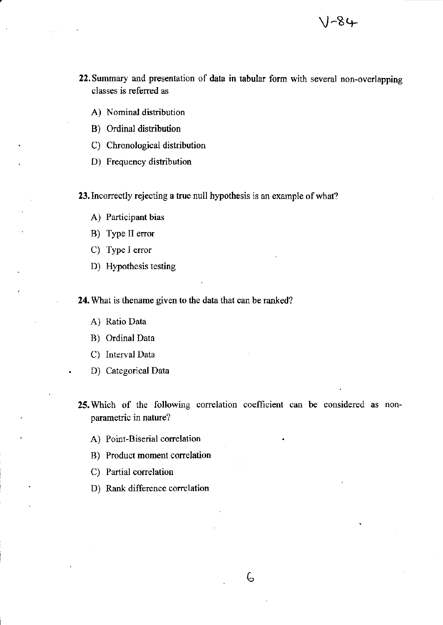**22. Summary and presentation of data in tabular form with several non-overlapping classes is referred as** 

J-84

- A) Nominal distribution
- B) Ordinal distribution
- C) Chronological distribution
- D) Frequency distribution

23. Incorrectly **rejecting a true null hypothesis is an example ofwhat?** 

- A) **Participant bias**
- B) Type II error
- C) Type I error
- D) Hypothesis testing

24. What is thename given to the data that can be ranked?

- A) Ratio Data
- B) Ordinal Data
- C) Interval Data
- D) Categorical Data
- **25.** Which of the following correlation coefficient can be considered as non**parametric in nature?**

6

- **A) Point-Biserial correlation**
- **B) Product moment correlation**
- C) Partial correlation
- D) Rank difference correlation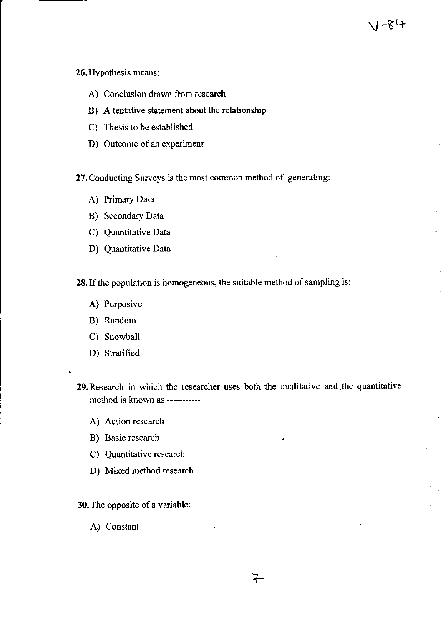**26. Hypothesis means:** 

- **A) Conclusion drawn from research**
- B) A tentative statement about the relationship
- C) Thesis to be established
- D) Outcome of an experiment

**27. Conducting Surveys is the most common method of generating:** 

- A) Primary Data
- B) Secondary Data
- C) Quantitative Data
- D) Quantitative Data

**28. If the population is homogeneous, the suitable method of sampling is:** 

- A) Purposive
- B) Random
- C) Snowball
- D) Stratified
- **29.Research in which the researcher uses both the qualitative and,the quantitative method is known as -----------**

∓

- **A) Action research**
- B) Basic research
- C) Quantitative research
- D) Mixed method research

30. The opposite of a variable:

A) Constant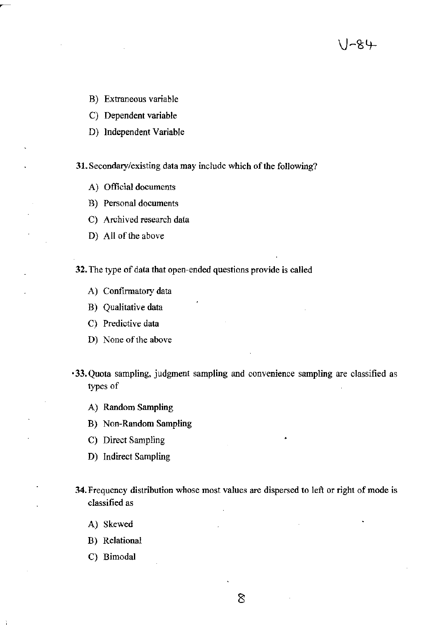- B) Extraneous variable
- C) Dependent variable
- D) Independent Variable

31. Secondary/existing data may include which of the following?

'~&५-

- A) Official documents
- **B) Personal documents**
- C) Archived research data
- D) All of the above

32. The type of data that open-ended questions provide is called

- A) Confirmatory data
- B) Qualitative data
- C) **Predictive data**
- D) None of the above
- **·33. Quota sampling, judgment sampling and convenience sampling are classified as**  types of
	- A) Random Sampling
	- B) Non-Random Sampling
	- C) Direct Sampling
	- D) Indirect Sampling
- **34. Frequency distribution whose most values are dispersed to left or right of mode is classified as** 
	- A) Skewed
	- B) Relational
	- C) Bimodal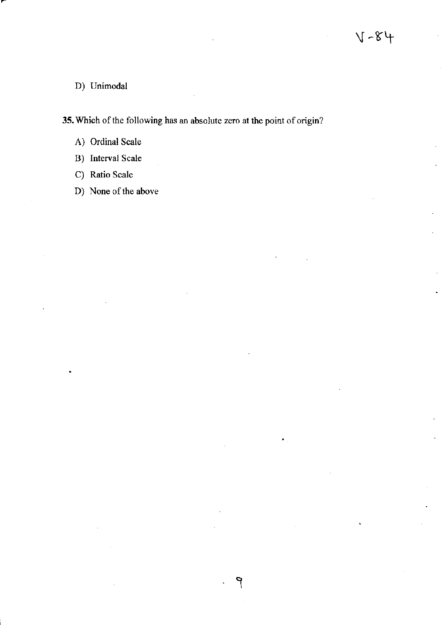### D) Unimodal

**35.** Which of the following has an absolute zero at the point of origin?

- A) Ordinal Scale
- B) Interval Scale
- C) Ratio Scale
- D) None of the above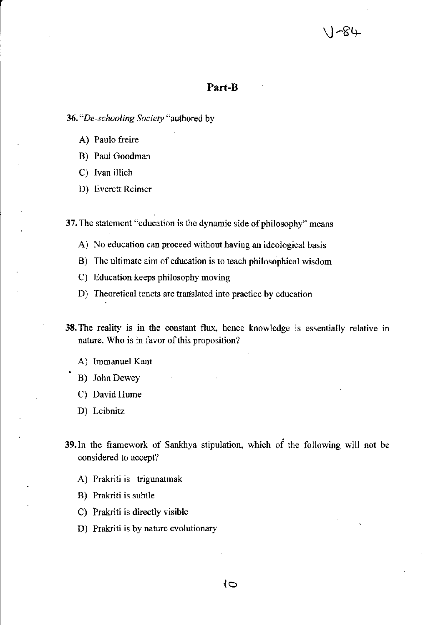## -84

### **Part-B**

*36. "De-schooling Society* "authored by

- A) Paulo freire
- B) Paul Goodman
- C) Ivan illich
- D) Everett Reimer

**37. The statement "education is the dynamic side of philosophy" means** 

- **A) No education can proceed without having an ideological basis**
- **B) The ultimate aim of education is to teach philosophical wisdom**
- C) Education keeps philosophy moving
- **D) Theoretical tenets are trartslated into practice by education**
- **38. The reality is in the constant flux, hence knowledge is essentially relative in nature. \\Tho is in favor** of this **proposition?** 
	- A) Immanuel Kant
	- B) John Dewey
	- C) David Hume
	- D) Leibnitz
- 39. In the framework of Sankhya stipulation. which of the following will not be **considered to accept?** 
	- A) Prakriti is trigunatmak
	- B) Prakriti is subtle
	- C) Prakriti is directly visible
	- D) Prakriti is by nature evolutionary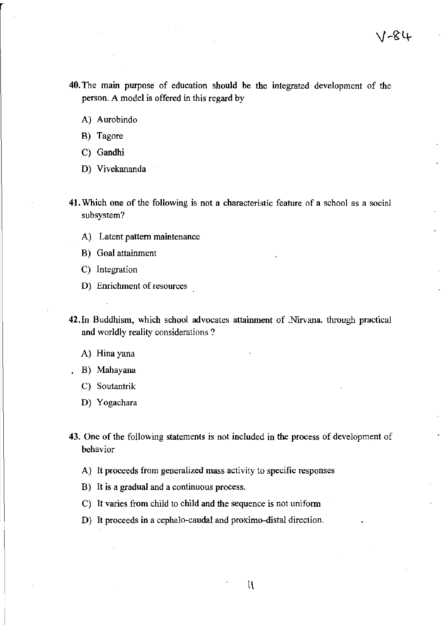- **40.** The mam purpose of education should be the integrated development of the person. A model is offered in this regard by
	- A) Aurobindo
	- B) Tagore
	- C) Gandhi
	- D) Vivekananda
- **41. Which one of the following is not a characteristic feature of a school as a social subsystem?** 
	- A) Latent pattern maintenance
	- B) Goal attainment
	- C) Integration
	- **D) Enrichment of resources**
- 42.ln Buddhism, which school advocates attainment of .Nirvana. through practical **and worldly reality considerations?** 
	- A) **Hina yana**
	- B) Mahayana
	- C) Soutantrik
	- D) **Yogachara**
- **43. One of the following statements is not included in the process of development of behavior** 
	- **A) It proceeds from generalized mass activity to specific responses**
	- B) **It is a gradual and a continuous process.**
	- C) It varies from child to child and the sequence is not uniform
	- D) It proceeds in a cephalo-caudal and proximo-distal direction.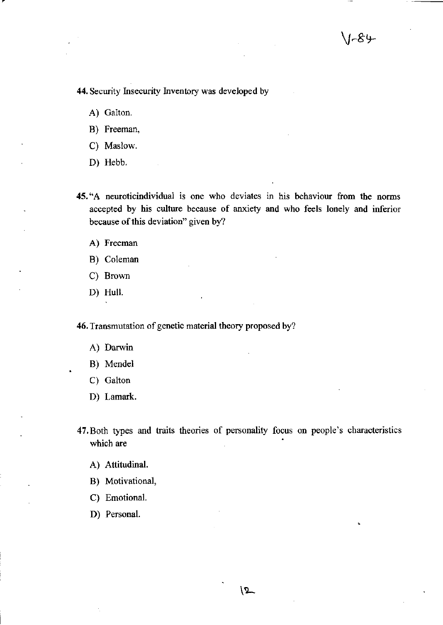**44.** Security Insecurity Inventory was developed by

A) Galton.

B) Freeman.

C) Maslow.

D) Hebb.

**45. "A neuroticindividual is one who deviates in his behaviour from the norms**  accepted by his culture because of anxiety and who feels lonely and inferior **because of this deviation" given by?** 

A) Freeman

B) Coleman

C) Brown

D) Hull.

**46. Transmutation of genetic material theory proposed by?** 

A) **Darwin** 

B) Mendel

C) Galton

D) Lamark.

47.Both types and traits theories of personality focus on people's characteristics which are

A) Attitudinal.

B) Motivational,

C) Emotional.

D) Personal.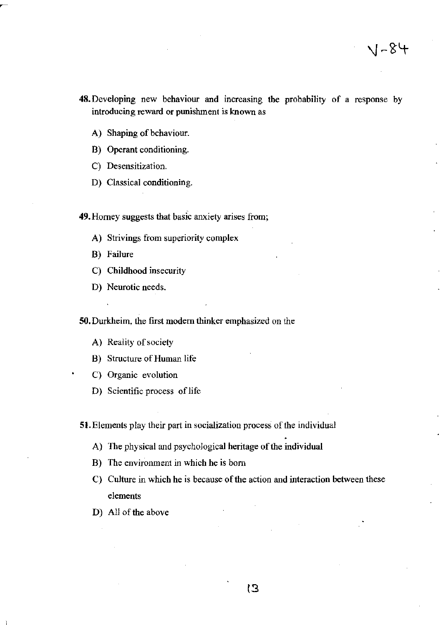- **48.Developing new behaviour and increasing the probability of a response by introducing reward or punishment is known as** 
	- A) Shaping of behaviour.

B) Operant conditioning.

- **C) Desensitization.**
- D) Classical conditioning.

49. Homey **suggests that basic anxiety arises from;** 

- **A) Strivings from superiority complex**
- B) Failure
- C) Childhood insecurity
- D) Neurotic needs.

**SO. Durkheim, the first modem thinker emphasized on the** 

- A) Reality of society
- B) Structure of Human life
- C) Organic evolution
- D) **Scientific process of life**

**51. Elements play their part in socialization process** of the **individual** 

- A) The physical and psychological heritage of the individual
- **B) The environment in which he is born**
- C) Culture in which he is because of the action and interaction between these **elements**
- D) All of the above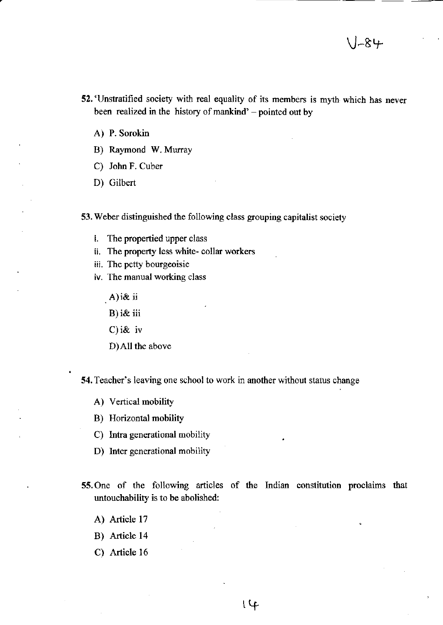- **52. 'Unstratified society with real equality of its members is myth which has never**  been realized in the history of mankind'  $-$  pointed out by
	- A) P. Sorokin
	- B) Raymond W. Murray
	- C) John F. Cuber
	- D) Gilbert

53. Weber distinguished the following class grouping capitalist society

- i. The propertied upper class
- ii. The property less white- collar workers
- **iii. The petty bourgeoisie**
- **iv. The manual working class** 
	- A)i&ii
	- B) i& iii
	- C) i& iv
	- D)All the above

**54. Teacher's leaving one school to work in another without status change** 

- A) Vertical mobility
- B) Horizontal mobility
- C) Intra generational mobility
- D) Inter generational mobility
- 55. One of the following articles of the Indian constitution proclaims that untouchability is to be abolished:
	- A) Article 17
	- B) Article 14
	- C) Article 16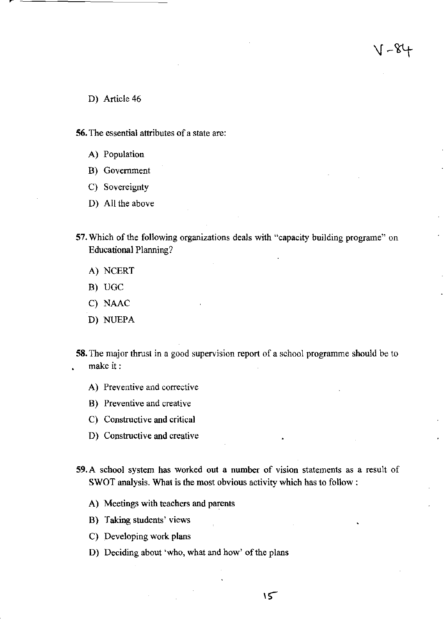$1 - 84$ 

- D) Article 46
- 56. The essential attributes of a state are:
	- A) **Population**
	- B) **Government**
	- C) Sovereignty
	- D) All the above
- 57. Which of the following organizations deals with "capacity building programe" on Educational Planning?
	- A) NCERT
	- B) UGC
	- C) NAAC
	- D) NUEPA
- **58. The major thrust in a good supervision report of a school programme should be to**  make it:
	- **A) Preventive and corrective**
	- **B) Preventive and creative**
	- **C) Constructive and critical**
	- **D) Constructive and creative**
- **59.A school system has worked out a number of vision statements as a result of**  SWOT analysis. What is the most obvious activity which has to follow:
	- A) Meetings with teachers and parents
	- B) Taking students' views
	- C) Developing work plans
	- D) Deciding about 'who, what and how' of the plans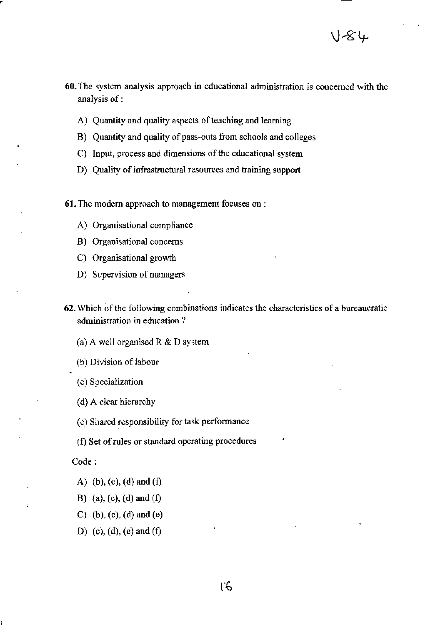- **60. The system analysis approach in educational administration is concerned with the**  analysis of:
	- A) Quantity and quality aspects of teaching and learning
	- B) Quantity and quality of pass-outs from schools and colleges
	- **C) Input, process and dimensions** of the **educational system**
	- **D) Quality of infrastructural resources and training support**
- **61. The modem approach to management focuses on :** 
	- **A) Organisational compliance**
	- **B) Organisationa1 concerns**
	- C) Organisational growth
	- **D) Supervision** of managers
- **62. Which** of the **following combinations indicates the characteristics of a bureaucratic administration in education?**

(a) A well organised R  $&$  D system

(b) Division of labour

(c) Specialization

(d) A clear hierarchy

(e) Shared responsibility for task performance

(f) Set of rules or standard operating procedures

Code:

- A) (b), (c), (d) and (f)
- B) (a), (c), (d) and (f)
- C) (b), (c), (d) and (e)
- D) (c), (d), (e) and (f)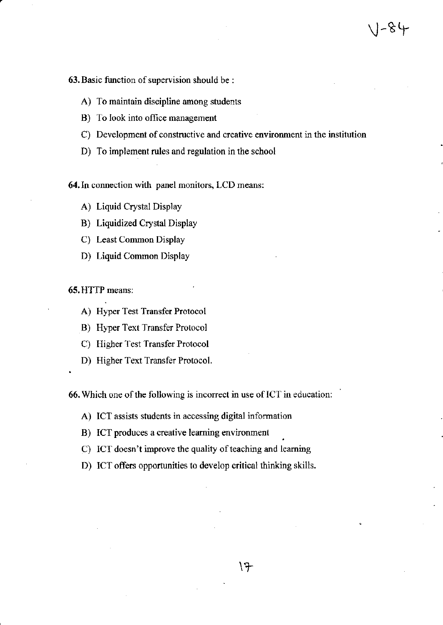$1 - 84$ 

### **63.Basic function of supervision should be:**

- **A) To maintain discipline among students**
- B) To look into office management
- **C) Development of constructive and creative environment in the institution**
- D) To implement rules and regulation in the school

**64. In connection with panel monitors, LCD means:** 

- A) Liquid Crystal Display
- B) Liquidized Crystal Display
- C) Least Common Display
- D) Liquid Common Display

65. HTTP means:

- A) Hyper Test Transfer Protocol
- B) Hyper Text Transfer Protocol
- C) Higher Test Transfer Protocol
- D) Higher Text Transfer Protocol.

**66.** Which one of the following is incorrect in use of ICT in education:

- **A) ICT assists students in accessing digital information**
- **B)** ICT produces a creative learning environment
- C) ICT doesn't improve the quality of teaching and learning
- D) ICT offers opportunities to develop critical thinking skills.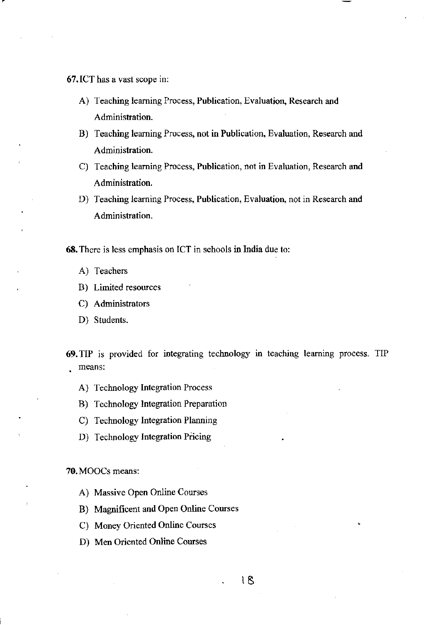67. ICT has a vast scope in:

- A) Teaching learning Process, Publication, Evaluation, Research and **Administration.**
- **B) Teaching learning Process, not in Publication, Evaluation, Research and Administration.**
- **C) Teaching learning Process, Publication, not in Evaluation, Research and Administration.**
- **D) Teaching learning Process, Publication, Evaluation, not in Research and Administration.**

**68. There is less emphasis on leT in schools in India due to:** 

- A) Teachers
- **B) Limited resources**
- C) Administrators
- D) Students.

69. TIP is provided for integrating technology in teaching learning process. TIP **means:** 

- A) Technology Integration Process
- B) Technology Integration Preparation
- C) Technology Integration Planning
- D) Technology Integration Pricing

70. MOOCs means:

- A) Massive Open Online Courses
- B) Magnificent and Open Online Courses
- C) Money Oriented Online Courses
- D) Men Oriented Online Courses